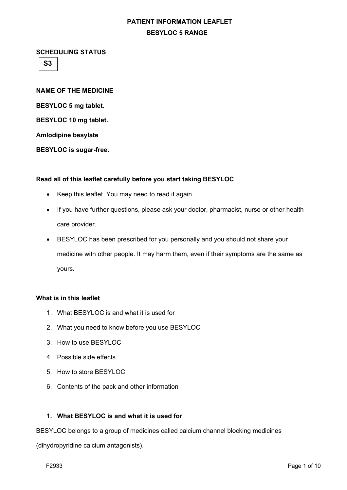**SCHEDULING STATUS** 

**S3**

**NAME OF THE MEDICINE BESYLOC 5 mg tablet. BESYLOC 10 mg tablet. Amlodipine besylate BESYLOC is sugar-free.**

## **Read all of this leaflet carefully before you start taking BESYLOC**

- Keep this leaflet. You may need to read it again.
- If you have further questions, please ask your doctor, pharmacist, nurse or other health care provider.
- BESYLOC has been prescribed for you personally and you should not share your medicine with other people. It may harm them, even if their symptoms are the same as yours.

### **What is in this leaflet**

- 1. What BESYLOC is and what it is used for
- 2. What you need to know before you use BESYLOC
- 3. How to use BESYLOC
- 4. Possible side effects
- 5. How to store BESYLOC
- 6. Contents of the pack and other information

## **1. What BESYLOC is and what it is used for**

BESYLOC belongs to a group of medicines called calcium channel blocking medicines

(dihydropyridine calcium antagonists).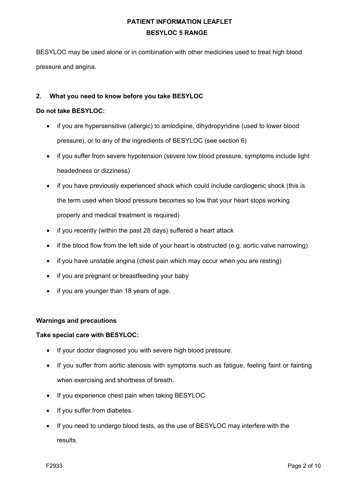BESYLOC may be used alone or in combination with other medicines used to treat high blood pressure and angina.

## **2. What you need to know before you take BESYLOC**

## **Do not take BESYLOC:**

- if you are hypersensitive (allergic) to amlodipine, dihydropyridine (used to lower blood pressure), or to any of the ingredients of BESYLOC (see section 6)
- if you suffer from severe hypotension (severe low blood pressure, symptoms include light headedness or dizziness)
- if you have previously experienced shock which could include cardiogenic shock (this is the term used when blood pressure becomes so low that your heart stops working properly and medical treatment is required)
- if you recently (within the past 28 days) suffered a heart attack
- if the blood flow from the left side of your heart is obstructed (e.g. aortic valve narrowing)
- if you have unstable angina (chest pain which may occur when you are resting)
- if you are pregnant or breastfeeding your baby
- if you are younger than 18 years of age.

### **Warnings and precautions**

### **Take special care with BESYLOC:**

- If your doctor diagnosed you with severe high blood pressure.
- If you suffer from aortic stenosis with symptoms such as fatigue, feeling faint or fainting when exercising and shortness of breath.
- If you experience chest pain when taking BESYLOC.
- If you suffer from diabetes.
- If you need to undergo blood tests, as the use of BESYLOC may interfere with the results.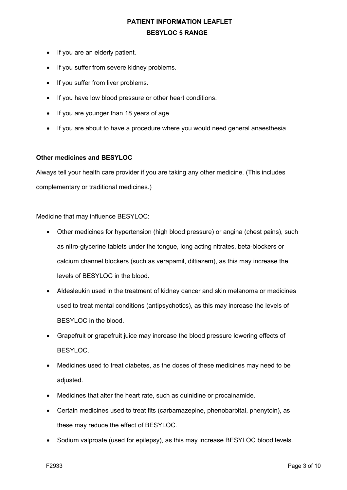- If you are an elderly patient.
- If you suffer from severe kidney problems.
- If you suffer from liver problems.
- If you have low blood pressure or other heart conditions.
- If you are younger than 18 years of age.
- If you are about to have a procedure where you would need general anaesthesia.

#### **Other medicines and BESYLOC**

Always tell your health care provider if you are taking any other medicine. (This includes complementary or traditional medicines.)

Medicine that may influence BESYLOC:

- Other medicines for hypertension (high blood pressure) or angina (chest pains), such as nitro-glycerine tablets under the tongue, long acting nitrates, beta-blockers or calcium channel blockers (such as verapamil, diltiazem), as this may increase the levels of BESYLOC in the blood.
- Aldesleukin used in the treatment of kidney cancer and skin melanoma or medicines used to treat mental conditions (antipsychotics), as this may increase the levels of BESYLOC in the blood.
- Grapefruit or grapefruit juice may increase the blood pressure lowering effects of BESYLOC.
- Medicines used to treat diabetes, as the doses of these medicines may need to be adiusted.
- Medicines that alter the heart rate, such as quinidine or procainamide.
- Certain medicines used to treat fits (carbamazepine, phenobarbital, phenytoin), as these may reduce the effect of BESYLOC.
- Sodium valproate (used for epilepsy), as this may increase BESYLOC blood levels.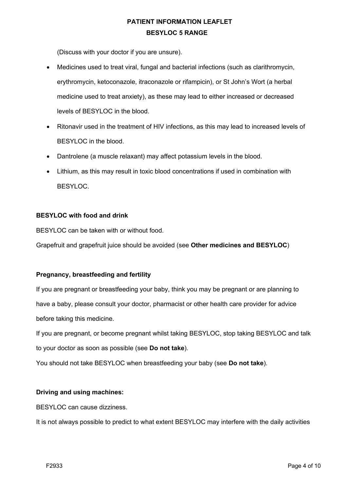(Discuss with your doctor if you are unsure).

- Medicines used to treat viral, fungal and bacterial infections (such as clarithromycin, erythromycin, ketoconazole, itraconazole or rifampicin), or St John's Wort (a herbal medicine used to treat anxiety), as these may lead to either increased or decreased levels of BESYLOC in the blood.
- Ritonavir used in the treatment of HIV infections, as this may lead to increased levels of BESYLOC in the blood.
- Dantrolene (a muscle relaxant) may affect potassium levels in the blood.
- Lithium, as this may result in toxic blood concentrations if used in combination with BESYLOC.

## **BESYLOC with food and drink**

BESYLOC can be taken with or without food.

Grapefruit and grapefruit juice should be avoided (see **Other medicines and BESYLOC**)

### **Pregnancy, breastfeeding and fertility**

If you are pregnant or breastfeeding your baby, think you may be pregnant or are planning to have a baby, please consult your doctor, pharmacist or other health care provider for advice before taking this medicine.

If you are pregnant, or become pregnant whilst taking BESYLOC, stop taking BESYLOC and talk to your doctor as soon as possible (see **Do not take**).

You should not take BESYLOC when breastfeeding your baby (see **Do not take**).

### **Driving and using machines:**

BESYLOC can cause dizziness.

It is not always possible to predict to what extent BESYLOC may interfere with the daily activities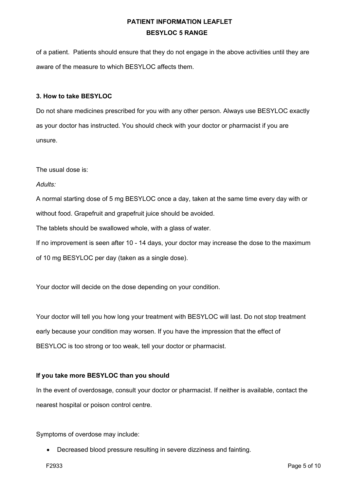of a patient. Patients should ensure that they do not engage in the above activities until they are aware of the measure to which BESYLOC affects them.

#### **3. How to take BESYLOC**

Do not share medicines prescribed for you with any other person. Always use BESYLOC exactly as your doctor has instructed. You should check with your doctor or pharmacist if you are unsure.

The usual dose is:

*Adults:*

A normal starting dose of 5 mg BESYLOC once a day, taken at the same time every day with or without food. Grapefruit and grapefruit juice should be avoided. The tablets should be swallowed whole, with a glass of water. If no improvement is seen after 10 - 14 days, your doctor may increase the dose to the maximum of 10 mg BESYLOC per day (taken as a single dose).

Your doctor will decide on the dose depending on your condition.

Your doctor will tell you how long your treatment with BESYLOC will last. Do not stop treatment early because your condition may worsen. If you have the impression that the effect of BESYLOC is too strong or too weak, tell your doctor or pharmacist.

### **If you take more BESYLOC than you should**

In the event of overdosage, consult your doctor or pharmacist. If neither is available, contact the nearest hospital or poison control centre.

Symptoms of overdose may include:

• Decreased blood pressure resulting in severe dizziness and fainting.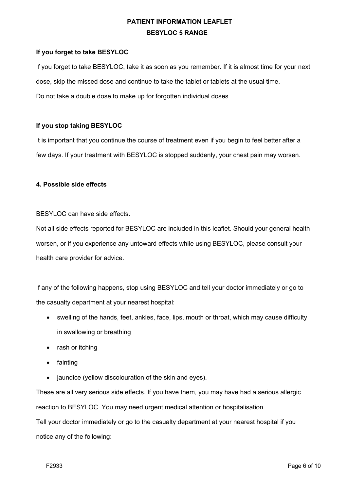## **If you forget to take BESYLOC**

If you forget to take BESYLOC, take it as soon as you remember. If it is almost time for your next dose, skip the missed dose and continue to take the tablet or tablets at the usual time. Do not take a double dose to make up for forgotten individual doses.

## **If you stop taking BESYLOC**

It is important that you continue the course of treatment even if you begin to feel better after a few days. If your treatment with BESYLOC is stopped suddenly, your chest pain may worsen.

### **4. Possible side effects**

BESYLOC can have side effects.

Not all side effects reported for BESYLOC are included in this leaflet. Should your general health worsen, or if you experience any untoward effects while using BESYLOC, please consult your health care provider for advice.

If any of the following happens, stop using BESYLOC and tell your doctor immediately or go to the casualty department at your nearest hospital:

- swelling of the hands, feet, ankles, face, lips, mouth or throat, which may cause difficulty in swallowing or breathing
- rash or itching
- fainting
- jaundice (yellow discolouration of the skin and eyes).

These are all very serious side effects. If you have them, you may have had a serious allergic reaction to BESYLOC. You may need urgent medical attention or hospitalisation.

Tell your doctor immediately or go to the casualty department at your nearest hospital if you notice any of the following: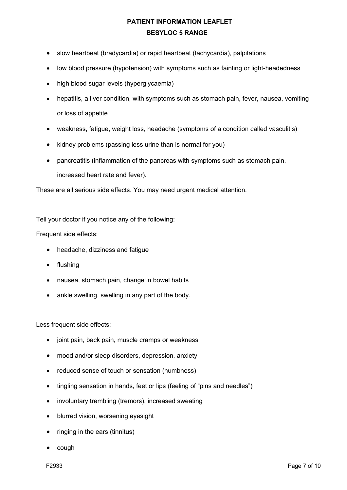- slow heartbeat (bradycardia) or rapid heartbeat (tachycardia), palpitations
- low blood pressure (hypotension) with symptoms such as fainting or light-headedness
- high blood sugar levels (hyperglycaemia)
- hepatitis, a liver condition, with symptoms such as stomach pain, fever, nausea, vomiting or loss of appetite
- weakness, fatigue, weight loss, headache (symptoms of a condition called vasculitis)
- kidney problems (passing less urine than is normal for you)
- pancreatitis (inflammation of the pancreas with symptoms such as stomach pain, increased heart rate and fever).

These are all serious side effects. You may need urgent medical attention.

Tell your doctor if you notice any of the following:

Frequent side effects:

- headache, dizziness and fatigue
- flushing
- nausea, stomach pain, change in bowel habits
- ankle swelling, swelling in any part of the body.

Less frequent side effects:

- joint pain, back pain, muscle cramps or weakness
- mood and/or sleep disorders, depression, anxiety
- reduced sense of touch or sensation (numbness)
- tingling sensation in hands, feet or lips (feeling of "pins and needles")
- involuntary trembling (tremors), increased sweating
- blurred vision, worsening eyesight
- ringing in the ears (tinnitus)
- cough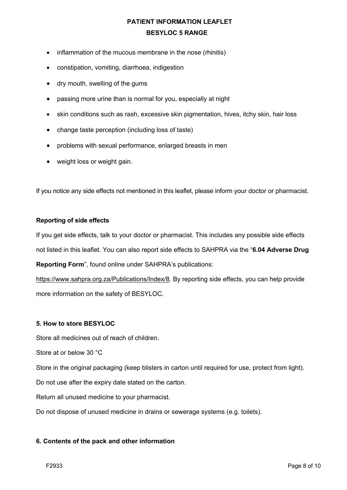- inflammation of the mucous membrane in the nose (rhinitis)
- constipation, vomiting, diarrhoea, indigestion
- dry mouth, swelling of the gums
- passing more urine than is normal for you, especially at night
- skin conditions such as rash, excessive skin pigmentation, hives, itchy skin, hair loss
- change taste perception (including loss of taste)
- problems with sexual performance, enlarged breasts in men
- weight loss or weight gain.

If you notice any side effects not mentioned in this leaflet, please inform your doctor or pharmacist.

### **Reporting of side effects**

If you get side effects, talk to your doctor or pharmacist. This includes any possible side effects not listed in this leaflet. You can also report side effects to SAHPRA via the "**6.04 Adverse Drug** 

**Reporting Form**", found online under SAHPRA's publications:

https://www.sahpra.org.za/Publications/Index/8. By reporting side effects, you can help provide more information on the safety of BESYLOC.

### **5. How to store BESYLOC**

Store all medicines out of reach of children.

Store at or below 30 °C

Store in the original packaging (keep blisters in carton until required for use, protect from light).

Do not use after the expiry date stated on the carton.

Return all unused medicine to your pharmacist.

Do not dispose of unused medicine in drains or sewerage systems (e.g. toilets).

### **6. Contents of the pack and other information**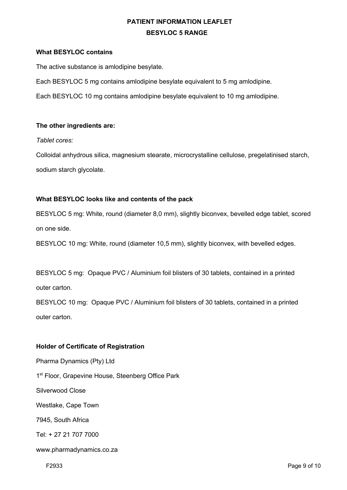## **What BESYLOC contains**

The active substance is amlodipine besylate.

Each BESYLOC 5 mg contains amlodipine besylate equivalent to 5 mg amlodipine.

Each BESYLOC 10 mg contains amlodipine besylate equivalent to 10 mg amlodipine.

## **The other ingredients are:**

*Tablet cores:*

Colloidal anhydrous silica, magnesium stearate, microcrystalline cellulose, pregelatinised starch, sodium starch glycolate.

## **What BESYLOC looks like and contents of the pack**

BESYLOC 5 mg: White, round (diameter 8,0 mm), slightly biconvex, bevelled edge tablet, scored on one side.

BESYLOC 10 mg: White, round (diameter 10,5 mm), slightly biconvex, with bevelled edges.

BESYLOC 5 mg: Opaque PVC / Aluminium foil blisters of 30 tablets, contained in a printed outer carton.

BESYLOC 10 mg:Opaque PVC / Aluminium foil blisters of 30 tablets, contained in a printed outer carton.

## **Holder of Certificate of Registration**

Pharma Dynamics (Pty) Ltd 1<sup>st</sup> Floor, Grapevine House, Steenberg Office Park

Silverwood Close

Westlake, Cape Town

7945, South Africa

Tel: + 27 21 707 7000

www.pharmadynamics.co.za